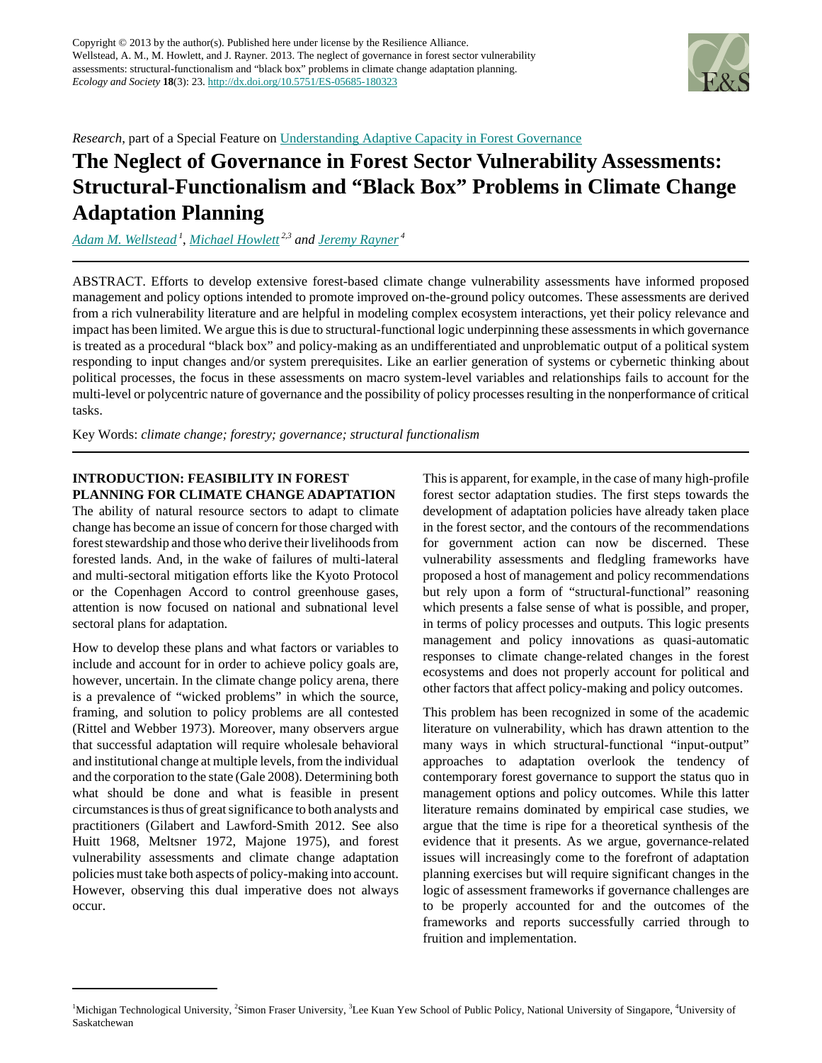

*Research*, part of a Special Feature on [Understanding Adaptive Capacity in Forest Governance](http://www.ecologyandsociety.org/viewissue.php?sf=44)

# **The Neglect of Governance in Forest Sector Vulnerability Assessments: Structural-Functionalism and "Black Box" Problems in Climate Change Adaptation Planning**

*[Adam M. Wellstead](mailto:awellste@mtu.edu)<sup>1</sup>* , *[Michael Howlett](mailto:howlett@sfu.ca) 2,3 and [Jeremy Rayner](mailto:jeremy.rayner@usask.ca)<sup>4</sup>*

ABSTRACT. Efforts to develop extensive forest-based climate change vulnerability assessments have informed proposed management and policy options intended to promote improved on-the-ground policy outcomes. These assessments are derived from a rich vulnerability literature and are helpful in modeling complex ecosystem interactions, yet their policy relevance and impact has been limited. We argue this is due to structural-functional logic underpinning these assessments in which governance is treated as a procedural "black box" and policy-making as an undifferentiated and unproblematic output of a political system responding to input changes and/or system prerequisites. Like an earlier generation of systems or cybernetic thinking about political processes, the focus in these assessments on macro system-level variables and relationships fails to account for the multi-level or polycentric nature of governance and the possibility of policy processes resulting in the nonperformance of critical tasks.

Key Words: *climate change; forestry; governance; structural functionalism*

# **INTRODUCTION: FEASIBILITY IN FOREST PLANNING FOR CLIMATE CHANGE ADAPTATION**

The ability of natural resource sectors to adapt to climate change has become an issue of concern for those charged with forest stewardship and those who derive their livelihoods from forested lands. And, in the wake of failures of multi-lateral and multi-sectoral mitigation efforts like the Kyoto Protocol or the Copenhagen Accord to control greenhouse gases, attention is now focused on national and subnational level sectoral plans for adaptation.

How to develop these plans and what factors or variables to include and account for in order to achieve policy goals are, however, uncertain. In the climate change policy arena, there is a prevalence of "wicked problems" in which the source, framing, and solution to policy problems are all contested (Rittel and Webber 1973). Moreover, many observers argue that successful adaptation will require wholesale behavioral and institutional change at multiple levels, from the individual and the corporation to the state (Gale 2008). Determining both what should be done and what is feasible in present circumstances is thus of great significance to both analysts and practitioners (Gilabert and Lawford-Smith 2012. See also Huitt 1968, Meltsner 1972, Majone 1975), and forest vulnerability assessments and climate change adaptation policies must take both aspects of policy-making into account. However, observing this dual imperative does not always occur.

This is apparent, for example, in the case of many high-profile forest sector adaptation studies. The first steps towards the development of adaptation policies have already taken place in the forest sector, and the contours of the recommendations for government action can now be discerned. These vulnerability assessments and fledgling frameworks have proposed a host of management and policy recommendations but rely upon a form of "structural-functional" reasoning which presents a false sense of what is possible, and proper, in terms of policy processes and outputs. This logic presents management and policy innovations as quasi-automatic responses to climate change-related changes in the forest ecosystems and does not properly account for political and other factors that affect policy-making and policy outcomes.

This problem has been recognized in some of the academic literature on vulnerability, which has drawn attention to the many ways in which structural-functional "input-output" approaches to adaptation overlook the tendency of contemporary forest governance to support the status quo in management options and policy outcomes. While this latter literature remains dominated by empirical case studies, we argue that the time is ripe for a theoretical synthesis of the evidence that it presents. As we argue, governance-related issues will increasingly come to the forefront of adaptation planning exercises but will require significant changes in the logic of assessment frameworks if governance challenges are to be properly accounted for and the outcomes of the frameworks and reports successfully carried through to fruition and implementation.

<sup>&</sup>lt;sup>1</sup>Michigan Technological University, <sup>2</sup>Simon Fraser University, <sup>3</sup>Lee Kuan Yew School of Public Policy, National University of Singapore, <sup>4</sup>University of Saskatchewan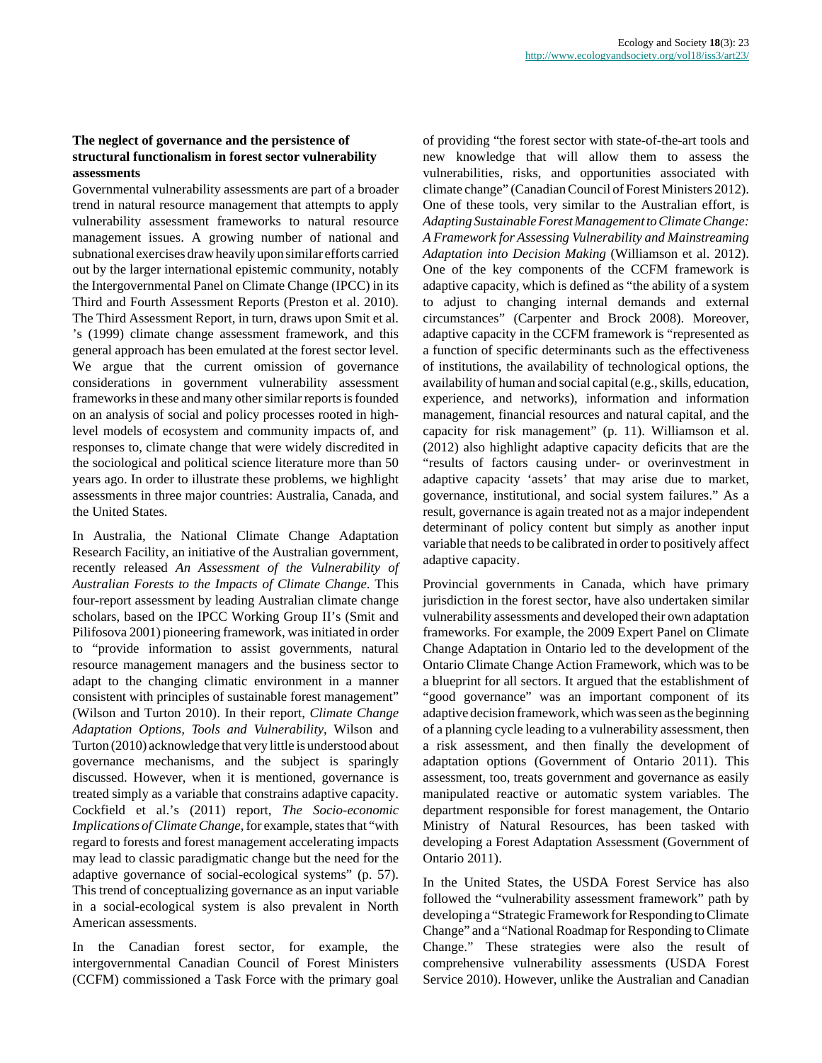## **The neglect of governance and the persistence of structural functionalism in forest sector vulnerability assessments**

Governmental vulnerability assessments are part of a broader trend in natural resource management that attempts to apply vulnerability assessment frameworks to natural resource management issues. A growing number of national and subnational exercises draw heavily upon similar efforts carried out by the larger international epistemic community, notably the Intergovernmental Panel on Climate Change (IPCC) in its Third and Fourth Assessment Reports (Preston et al. 2010). The Third Assessment Report, in turn, draws upon Smit et al. 's (1999) climate change assessment framework, and this general approach has been emulated at the forest sector level. We argue that the current omission of governance considerations in government vulnerability assessment frameworks in these and many other similar reports is founded on an analysis of social and policy processes rooted in highlevel models of ecosystem and community impacts of, and responses to, climate change that were widely discredited in the sociological and political science literature more than 50 years ago. In order to illustrate these problems, we highlight assessments in three major countries: Australia, Canada, and the United States.

In Australia, the National Climate Change Adaptation Research Facility, an initiative of the Australian government, recently released *An Assessment of the Vulnerability of Australian Forests to the Impacts of Climate Change*. This four-report assessment by leading Australian climate change scholars, based on the IPCC Working Group II's (Smit and Pilifosova 2001) pioneering framework, was initiated in order to "provide information to assist governments, natural resource management managers and the business sector to adapt to the changing climatic environment in a manner consistent with principles of sustainable forest management" (Wilson and Turton 2010). In their report, *Climate Change Adaptation Options, Tools and Vulnerability*, Wilson and Turton (2010) acknowledge that very little is understood about governance mechanisms, and the subject is sparingly discussed. However, when it is mentioned, governance is treated simply as a variable that constrains adaptive capacity. Cockfield et al.'s (2011) report, *The Socio-economic Implications of Climate Change*, for example, states that "with regard to forests and forest management accelerating impacts may lead to classic paradigmatic change but the need for the adaptive governance of social-ecological systems" (p. 57). This trend of conceptualizing governance as an input variable in a social-ecological system is also prevalent in North American assessments.

In the Canadian forest sector, for example, the intergovernmental Canadian Council of Forest Ministers (CCFM) commissioned a Task Force with the primary goal of providing "the forest sector with state-of-the-art tools and new knowledge that will allow them to assess the vulnerabilities, risks, and opportunities associated with climate change" (Canadian Council of Forest Ministers 2012). One of these tools, very similar to the Australian effort, is *Adapting Sustainable Forest Management to Climate Change: A Framework for Assessing Vulnerability and Mainstreaming Adaptation into Decision Making* (Williamson et al. 2012). One of the key components of the CCFM framework is adaptive capacity, which is defined as "the ability of a system to adjust to changing internal demands and external circumstances" (Carpenter and Brock 2008). Moreover, adaptive capacity in the CCFM framework is "represented as a function of specific determinants such as the effectiveness of institutions, the availability of technological options, the availability of human and social capital (e.g., skills, education, experience, and networks), information and information management, financial resources and natural capital, and the capacity for risk management" (p. 11). Williamson et al. (2012) also highlight adaptive capacity deficits that are the "results of factors causing under- or overinvestment in adaptive capacity 'assets' that may arise due to market, governance, institutional, and social system failures." As a result, governance is again treated not as a major independent determinant of policy content but simply as another input variable that needs to be calibrated in order to positively affect adaptive capacity.

Provincial governments in Canada, which have primary jurisdiction in the forest sector, have also undertaken similar vulnerability assessments and developed their own adaptation frameworks. For example, the 2009 Expert Panel on Climate Change Adaptation in Ontario led to the development of the Ontario Climate Change Action Framework, which was to be a blueprint for all sectors. It argued that the establishment of "good governance" was an important component of its adaptive decision framework, which was seen as the beginning of a planning cycle leading to a vulnerability assessment, then a risk assessment, and then finally the development of adaptation options (Government of Ontario 2011). This assessment, too, treats government and governance as easily manipulated reactive or automatic system variables. The department responsible for forest management, the Ontario Ministry of Natural Resources, has been tasked with developing a Forest Adaptation Assessment (Government of Ontario 2011).

In the United States, the USDA Forest Service has also followed the "vulnerability assessment framework" path by developing a "Strategic Framework for Responding to Climate Change" and a "National Roadmap for Responding to Climate Change." These strategies were also the result of comprehensive vulnerability assessments (USDA Forest Service 2010). However, unlike the Australian and Canadian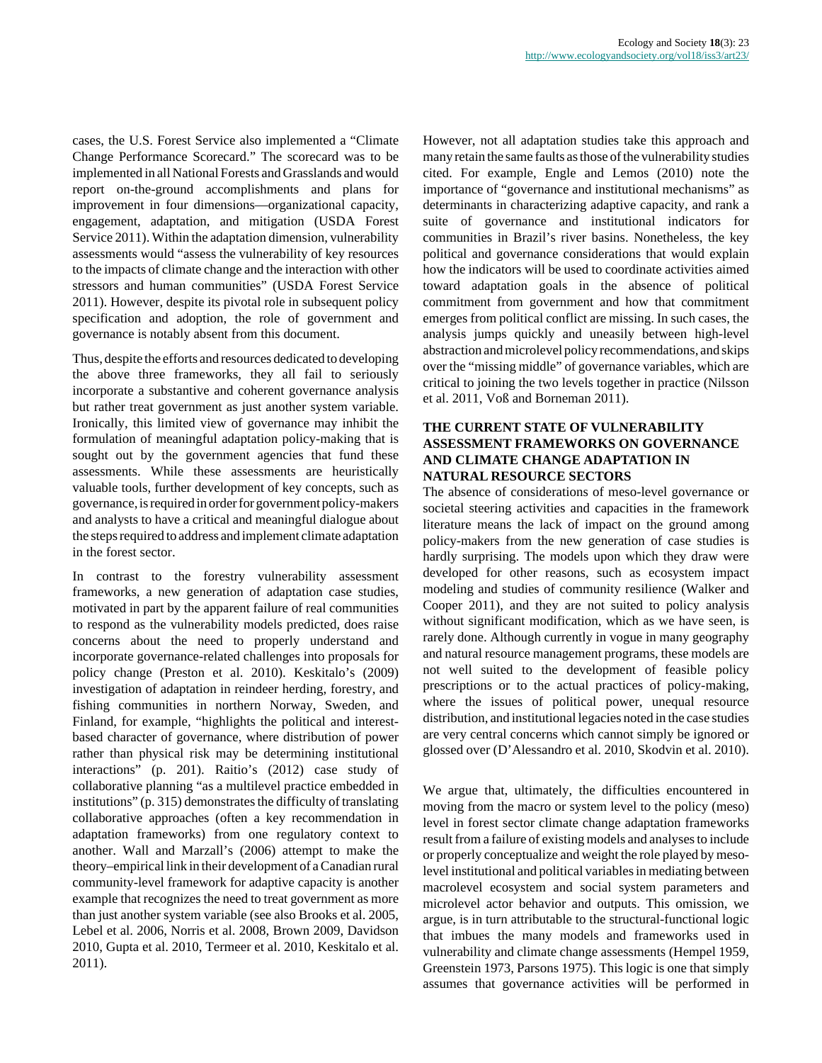cases, the U.S. Forest Service also implemented a "Climate Change Performance Scorecard." The scorecard was to be implemented in all National Forests and Grasslands and would report on-the-ground accomplishments and plans for improvement in four dimensions—organizational capacity, engagement, adaptation, and mitigation (USDA Forest Service 2011). Within the adaptation dimension, vulnerability assessments would "assess the vulnerability of key resources to the impacts of climate change and the interaction with other stressors and human communities" (USDA Forest Service 2011). However, despite its pivotal role in subsequent policy specification and adoption, the role of government and governance is notably absent from this document.

Thus, despite the efforts and resources dedicated to developing the above three frameworks, they all fail to seriously incorporate a substantive and coherent governance analysis but rather treat government as just another system variable. Ironically, this limited view of governance may inhibit the formulation of meaningful adaptation policy-making that is sought out by the government agencies that fund these assessments. While these assessments are heuristically valuable tools, further development of key concepts, such as governance, is required in order for government policy-makers and analysts to have a critical and meaningful dialogue about the steps required to address and implement climate adaptation in the forest sector.

In contrast to the forestry vulnerability assessment frameworks, a new generation of adaptation case studies, motivated in part by the apparent failure of real communities to respond as the vulnerability models predicted, does raise concerns about the need to properly understand and incorporate governance-related challenges into proposals for policy change (Preston et al. 2010). Keskitalo's (2009) investigation of adaptation in reindeer herding, forestry, and fishing communities in northern Norway, Sweden, and Finland, for example, "highlights the political and interestbased character of governance, where distribution of power rather than physical risk may be determining institutional interactions" (p. 201). Raitio's (2012) case study of collaborative planning "as a multilevel practice embedded in institutions" (p. 315) demonstrates the difficulty of translating collaborative approaches (often a key recommendation in adaptation frameworks) from one regulatory context to another. Wall and Marzall's (2006) attempt to make the theory–empirical link in their development of a Canadian rural community-level framework for adaptive capacity is another example that recognizes the need to treat government as more than just another system variable (see also Brooks et al. 2005, Lebel et al. 2006, Norris et al. 2008, Brown 2009, Davidson 2010, Gupta et al. 2010, Termeer et al. 2010, Keskitalo et al. 2011).

However, not all adaptation studies take this approach and many retain the same faults as those of the vulnerability studies cited. For example, Engle and Lemos (2010) note the importance of "governance and institutional mechanisms" as determinants in characterizing adaptive capacity, and rank a suite of governance and institutional indicators for communities in Brazil's river basins. Nonetheless, the key political and governance considerations that would explain how the indicators will be used to coordinate activities aimed toward adaptation goals in the absence of political commitment from government and how that commitment emerges from political conflict are missing. In such cases, the analysis jumps quickly and uneasily between high-level abstraction and microlevel policy recommendations, and skips over the "missing middle" of governance variables, which are critical to joining the two levels together in practice (Nilsson et al. 2011, Voß and Borneman 2011).

## **THE CURRENT STATE OF VULNERABILITY ASSESSMENT FRAMEWORKS ON GOVERNANCE AND CLIMATE CHANGE ADAPTATION IN NATURAL RESOURCE SECTORS**

The absence of considerations of meso-level governance or societal steering activities and capacities in the framework literature means the lack of impact on the ground among policy-makers from the new generation of case studies is hardly surprising. The models upon which they draw were developed for other reasons, such as ecosystem impact modeling and studies of community resilience (Walker and Cooper 2011), and they are not suited to policy analysis without significant modification, which as we have seen, is rarely done. Although currently in vogue in many geography and natural resource management programs, these models are not well suited to the development of feasible policy prescriptions or to the actual practices of policy-making, where the issues of political power, unequal resource distribution, and institutional legacies noted in the case studies are very central concerns which cannot simply be ignored or glossed over (D'Alessandro et al. 2010, Skodvin et al. 2010).

We argue that, ultimately, the difficulties encountered in moving from the macro or system level to the policy (meso) level in forest sector climate change adaptation frameworks result from a failure of existing models and analyses to include or properly conceptualize and weight the role played by mesolevel institutional and political variables in mediating between macrolevel ecosystem and social system parameters and microlevel actor behavior and outputs. This omission, we argue, is in turn attributable to the structural-functional logic that imbues the many models and frameworks used in vulnerability and climate change assessments (Hempel 1959, Greenstein 1973, Parsons 1975). This logic is one that simply assumes that governance activities will be performed in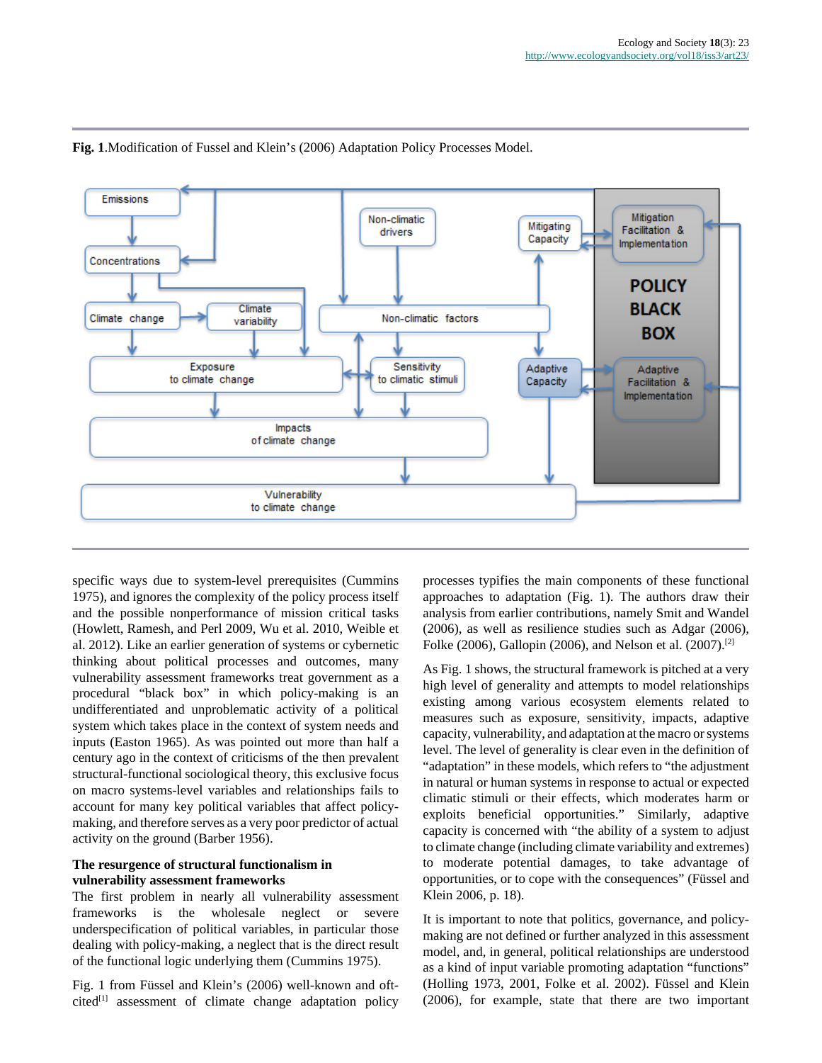

#### **Fig. 1**.Modification of Fussel and Klein's (2006) Adaptation Policy Processes Model.

specific ways due to system-level prerequisites (Cummins 1975), and ignores the complexity of the policy process itself and the possible nonperformance of mission critical tasks (Howlett, Ramesh, and Perl 2009, Wu et al. 2010, Weible et al. 2012). Like an earlier generation of systems or cybernetic thinking about political processes and outcomes, many vulnerability assessment frameworks treat government as a procedural "black box" in which policy-making is an undifferentiated and unproblematic activity of a political system which takes place in the context of system needs and inputs (Easton 1965). As was pointed out more than half a century ago in the context of criticisms of the then prevalent structural-functional sociological theory, this exclusive focus on macro systems-level variables and relationships fails to account for many key political variables that affect policymaking, and therefore serves as a very poor predictor of actual activity on the ground (Barber 1956).

## **The resurgence of structural functionalism in vulnerability assessment frameworks**

The first problem in nearly all vulnerability assessment frameworks is the wholesale neglect or severe underspecification of political variables, in particular those dealing with policy-making, a neglect that is the direct result of the functional logic underlying them (Cummins 1975).

Fig. 1 from Füssel and Klein's (2006) well-known and oft $cited<sup>[1]</sup> assessment of climate change adaptation policy$  processes typifies the main components of these functional approaches to adaptation (Fig. 1). The authors draw their analysis from earlier contributions, namely Smit and Wandel (2006), as well as resilience studies such as Adgar (2006), Folke (2006), Gallopin (2006), and Nelson et al. (2007).[2]

As Fig. 1 shows, the structural framework is pitched at a very high level of generality and attempts to model relationships existing among various ecosystem elements related to measures such as exposure, sensitivity, impacts, adaptive capacity, vulnerability, and adaptation at the macro or systems level. The level of generality is clear even in the definition of "adaptation" in these models, which refers to "the adjustment in natural or human systems in response to actual or expected climatic stimuli or their effects, which moderates harm or exploits beneficial opportunities." Similarly, adaptive capacity is concerned with "the ability of a system to adjust to climate change (including climate variability and extremes) to moderate potential damages, to take advantage of opportunities, or to cope with the consequences" (Füssel and Klein 2006, p. 18).

It is important to note that politics, governance, and policymaking are not defined or further analyzed in this assessment model, and, in general, political relationships are understood as a kind of input variable promoting adaptation "functions" (Holling 1973, 2001, Folke et al. 2002). Füssel and Klein (2006), for example, state that there are two important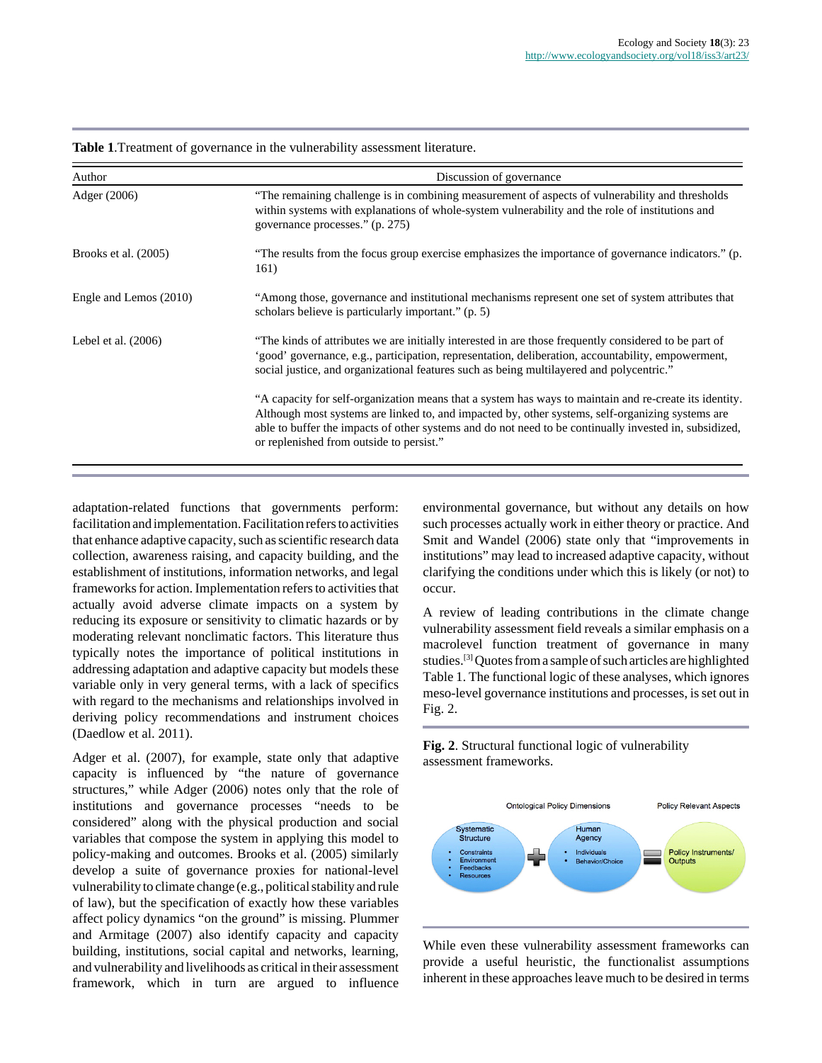| Author                 | Discussion of governance                                                                                                                                                                                                                                                                                                                                                                                                                                                                                                                                                                                                                                                    |  |  |
|------------------------|-----------------------------------------------------------------------------------------------------------------------------------------------------------------------------------------------------------------------------------------------------------------------------------------------------------------------------------------------------------------------------------------------------------------------------------------------------------------------------------------------------------------------------------------------------------------------------------------------------------------------------------------------------------------------------|--|--|
| Adger (2006)           | "The remaining challenge is in combining measurement of aspects of vulnerability and thresholds<br>within systems with explanations of whole-system vulnerability and the role of institutions and<br>governance processes." (p. 275)                                                                                                                                                                                                                                                                                                                                                                                                                                       |  |  |
| Brooks et al. (2005)   | "The results from the focus group exercise emphasizes the importance of governance indicators." (p.<br>161)                                                                                                                                                                                                                                                                                                                                                                                                                                                                                                                                                                 |  |  |
| Engle and Lemos (2010) | "Among those, governance and institutional mechanisms represent one set of system attributes that<br>scholars believe is particularly important." (p. 5)                                                                                                                                                                                                                                                                                                                                                                                                                                                                                                                    |  |  |
| Lebel et al. $(2006)$  | "The kinds of attributes we are initially interested in are those frequently considered to be part of<br>'good' governance, e.g., participation, representation, deliberation, accountability, empowerment,<br>social justice, and organizational features such as being multilayered and polycentric."<br>"A capacity for self-organization means that a system has ways to maintain and re-create its identity.<br>Although most systems are linked to, and impacted by, other systems, self-organizing systems are<br>able to buffer the impacts of other systems and do not need to be continually invested in, subsidized,<br>or replenished from outside to persist." |  |  |

**Table 1**.Treatment of governance in the vulnerability assessment literature.

adaptation-related functions that governments perform: facilitation and implementation. Facilitation refers to activities that enhance adaptive capacity, such as scientific research data collection, awareness raising, and capacity building, and the establishment of institutions, information networks, and legal frameworks for action. Implementation refers to activities that actually avoid adverse climate impacts on a system by reducing its exposure or sensitivity to climatic hazards or by moderating relevant nonclimatic factors. This literature thus typically notes the importance of political institutions in addressing adaptation and adaptive capacity but models these variable only in very general terms, with a lack of specifics with regard to the mechanisms and relationships involved in deriving policy recommendations and instrument choices (Daedlow et al. 2011).

Adger et al. (2007), for example, state only that adaptive capacity is influenced by "the nature of governance structures," while Adger (2006) notes only that the role of institutions and governance processes "needs to be considered" along with the physical production and social variables that compose the system in applying this model to policy-making and outcomes. Brooks et al. (2005) similarly develop a suite of governance proxies for national-level vulnerability to climate change (e.g., political stability and rule of law), but the specification of exactly how these variables affect policy dynamics "on the ground" is missing. Plummer and Armitage (2007) also identify capacity and capacity building, institutions, social capital and networks, learning, and vulnerability and livelihoods as critical in their assessment framework, which in turn are argued to influence environmental governance, but without any details on how such processes actually work in either theory or practice. And Smit and Wandel (2006) state only that "improvements in institutions" may lead to increased adaptive capacity, without clarifying the conditions under which this is likely (or not) to occur.

A review of leading contributions in the climate change vulnerability assessment field reveals a similar emphasis on a macrolevel function treatment of governance in many studies.[3] Quotes from a sample of such articles are highlighted Table 1. The functional logic of these analyses, which ignores meso-level governance institutions and processes, is set out in Fig. 2.

**Fig. 2**. Structural functional logic of vulnerability assessment frameworks.



While even these vulnerability assessment frameworks can provide a useful heuristic, the functionalist assumptions inherent in these approaches leave much to be desired in terms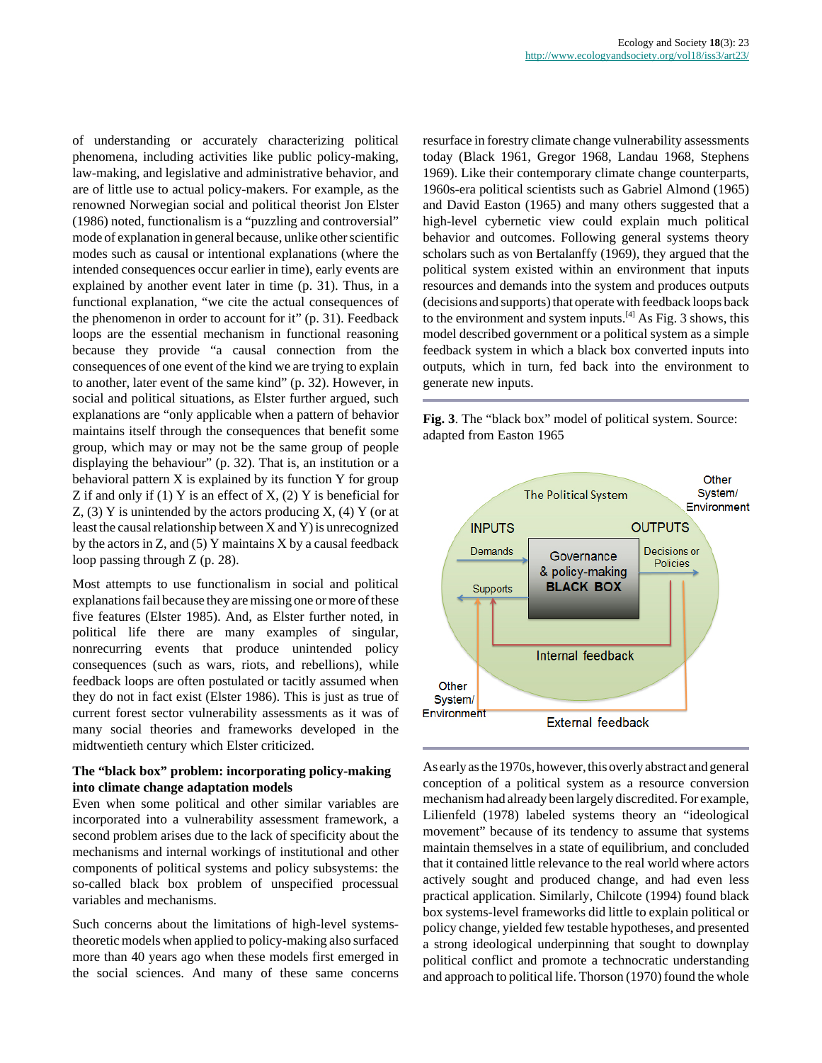of understanding or accurately characterizing political phenomena, including activities like public policy-making, law-making, and legislative and administrative behavior, and are of little use to actual policy-makers. For example, as the renowned Norwegian social and political theorist Jon Elster (1986) noted, functionalism is a "puzzling and controversial" mode of explanation in general because, unlike other scientific modes such as causal or intentional explanations (where the intended consequences occur earlier in time), early events are explained by another event later in time (p. 31). Thus, in a functional explanation, "we cite the actual consequences of the phenomenon in order to account for it" (p. 31). Feedback loops are the essential mechanism in functional reasoning because they provide "a causal connection from the consequences of one event of the kind we are trying to explain to another, later event of the same kind" (p. 32). However, in social and political situations, as Elster further argued, such explanations are "only applicable when a pattern of behavior maintains itself through the consequences that benefit some group, which may or may not be the same group of people displaying the behaviour" (p. 32). That is, an institution or a behavioral pattern X is explained by its function Y for group Z if and only if  $(1)$  Y is an effect of X,  $(2)$  Y is beneficial for  $Z$ , (3) Y is unintended by the actors producing  $X$ , (4) Y (or at least the causal relationship between X and Y) is unrecognized by the actors in  $Z$ , and  $(5)$  Y maintains  $X$  by a causal feedback loop passing through Z (p. 28).

Most attempts to use functionalism in social and political explanations fail because they are missing one or more of these five features (Elster 1985). And, as Elster further noted, in political life there are many examples of singular, nonrecurring events that produce unintended policy consequences (such as wars, riots, and rebellions), while feedback loops are often postulated or tacitly assumed when they do not in fact exist (Elster 1986). This is just as true of current forest sector vulnerability assessments as it was of many social theories and frameworks developed in the midtwentieth century which Elster criticized.

#### **The "black box" problem: incorporating policy-making into climate change adaptation models**

Even when some political and other similar variables are incorporated into a vulnerability assessment framework, a second problem arises due to the lack of specificity about the mechanisms and internal workings of institutional and other components of political systems and policy subsystems: the so-called black box problem of unspecified processual variables and mechanisms.

Such concerns about the limitations of high-level systemstheoretic models when applied to policy-making also surfaced more than 40 years ago when these models first emerged in the social sciences. And many of these same concerns resurface in forestry climate change vulnerability assessments today (Black 1961, Gregor 1968, Landau 1968, Stephens 1969). Like their contemporary climate change counterparts, 1960s-era political scientists such as Gabriel Almond (1965) and David Easton (1965) and many others suggested that a high-level cybernetic view could explain much political behavior and outcomes. Following general systems theory scholars such as von Bertalanffy (1969), they argued that the political system existed within an environment that inputs resources and demands into the system and produces outputs (decisions and supports) that operate with feedback loops back to the environment and system inputs.<sup>[4]</sup> As Fig. 3 shows, this model described government or a political system as a simple feedback system in which a black box converted inputs into outputs, which in turn, fed back into the environment to generate new inputs.

**Fig. 3**. The "black box" model of political system. Source: adapted from Easton 1965



As early as the 1970s, however, this overly abstract and general conception of a political system as a resource conversion mechanism had already been largely discredited. For example, Lilienfeld (1978) labeled systems theory an "ideological movement" because of its tendency to assume that systems maintain themselves in a state of equilibrium, and concluded that it contained little relevance to the real world where actors actively sought and produced change, and had even less practical application. Similarly, Chilcote (1994) found black box systems-level frameworks did little to explain political or policy change, yielded few testable hypotheses, and presented a strong ideological underpinning that sought to downplay political conflict and promote a technocratic understanding and approach to political life. Thorson (1970) found the whole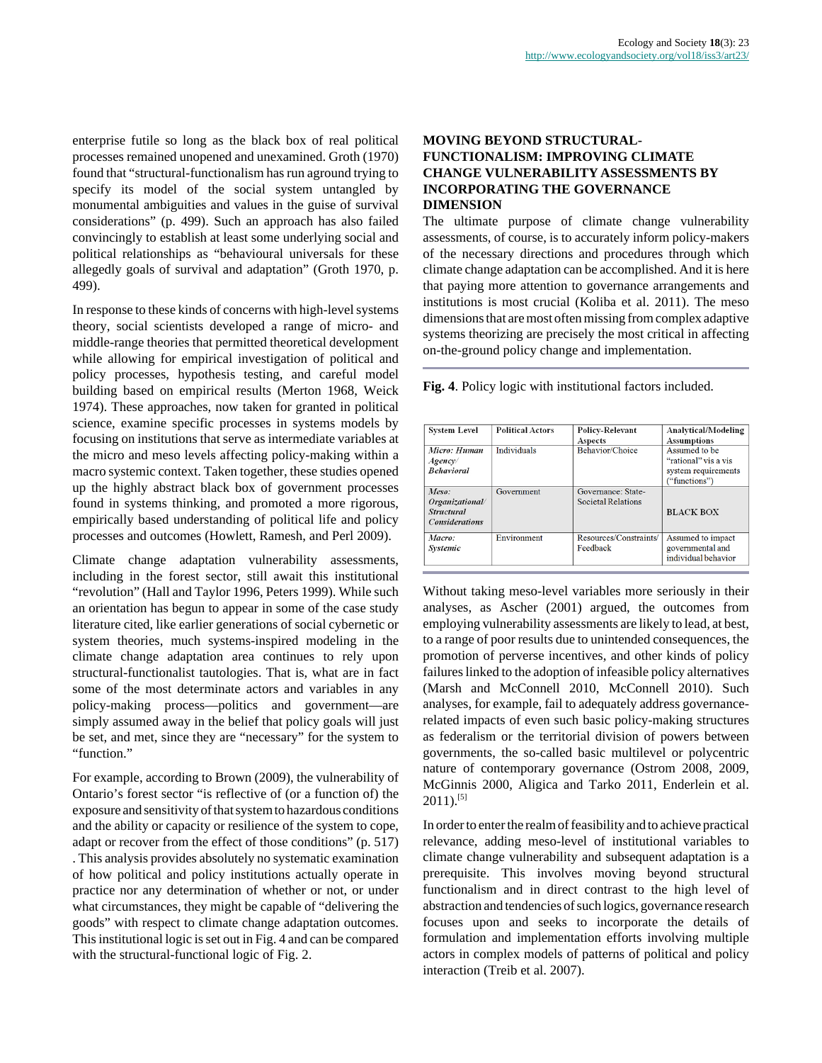enterprise futile so long as the black box of real political processes remained unopened and unexamined. Groth (1970) found that "structural-functionalism has run aground trying to specify its model of the social system untangled by monumental ambiguities and values in the guise of survival considerations" (p. 499). Such an approach has also failed convincingly to establish at least some underlying social and political relationships as "behavioural universals for these allegedly goals of survival and adaptation" (Groth 1970, p. 499).

In response to these kinds of concerns with high-level systems theory, social scientists developed a range of micro- and middle-range theories that permitted theoretical development while allowing for empirical investigation of political and policy processes, hypothesis testing, and careful model building based on empirical results (Merton 1968, Weick 1974). These approaches, now taken for granted in political science, examine specific processes in systems models by focusing on institutions that serve as intermediate variables at the micro and meso levels affecting policy-making within a macro systemic context. Taken together, these studies opened up the highly abstract black box of government processes found in systems thinking, and promoted a more rigorous, empirically based understanding of political life and policy processes and outcomes (Howlett, Ramesh, and Perl 2009).

Climate change adaptation vulnerability assessments, including in the forest sector, still await this institutional "revolution" (Hall and Taylor 1996, Peters 1999). While such an orientation has begun to appear in some of the case study literature cited, like earlier generations of social cybernetic or system theories, much systems-inspired modeling in the climate change adaptation area continues to rely upon structural-functionalist tautologies. That is, what are in fact some of the most determinate actors and variables in any policy-making process—politics and government—are simply assumed away in the belief that policy goals will just be set, and met, since they are "necessary" for the system to "function."

For example, according to Brown (2009), the vulnerability of Ontario's forest sector "is reflective of (or a function of) the exposure and sensitivity of that system to hazardous conditions and the ability or capacity or resilience of the system to cope, adapt or recover from the effect of those conditions" (p. 517) . This analysis provides absolutely no systematic examination of how political and policy institutions actually operate in practice nor any determination of whether or not, or under what circumstances, they might be capable of "delivering the goods" with respect to climate change adaptation outcomes. This institutional logic is set out in Fig. 4 and can be compared with the structural-functional logic of Fig. 2.

# **MOVING BEYOND STRUCTURAL-FUNCTIONALISM: IMPROVING CLIMATE CHANGE VULNERABILITY ASSESSMENTS BY INCORPORATING THE GOVERNANCE DIMENSION**

The ultimate purpose of climate change vulnerability assessments, of course, is to accurately inform policy-makers of the necessary directions and procedures through which climate change adaptation can be accomplished. And it is here that paying more attention to governance arrangements and institutions is most crucial (Koliba et al. 2011). The meso dimensions that are most often missing from complex adaptive systems theorizing are precisely the most critical in affecting on-the-ground policy change and implementation.

**Fig. 4**. Policy logic with institutional factors included.

| <b>System Level</b>   | <b>Political Actors</b> | Policy-Relevant        | Analytical/Modeling                     |
|-----------------------|-------------------------|------------------------|-----------------------------------------|
|                       |                         | Aspects                | <b>Assumptions</b>                      |
| Micro: Human          | Individuals             | Behavior/Choice        | Assumed to be                           |
| $A$ gency/            |                         |                        | "rational" vis a vis                    |
| <b>Behavioral</b>     |                         |                        | system requirements                     |
|                       |                         |                        | ("functions")                           |
| Meso:                 | Government              | Governance: State-     |                                         |
| Organizational/       |                         | Societal Relations     |                                         |
| <b>Structural</b>     |                         |                        | <b>BLACK BOX</b>                        |
| <b>Considerations</b> |                         |                        |                                         |
| Macro:                | Environment             | Resources/Constraints/ | Assumed to impact                       |
| Systemic              |                         | Feedback               | governmental and<br>individual behavior |

Without taking meso-level variables more seriously in their analyses, as Ascher (2001) argued, the outcomes from employing vulnerability assessments are likely to lead, at best, to a range of poor results due to unintended consequences, the promotion of perverse incentives, and other kinds of policy failures linked to the adoption of infeasible policy alternatives (Marsh and McConnell 2010, McConnell 2010). Such analyses, for example, fail to adequately address governancerelated impacts of even such basic policy-making structures as federalism or the territorial division of powers between governments, the so-called basic multilevel or polycentric nature of contemporary governance (Ostrom 2008, 2009, McGinnis 2000, Aligica and Tarko 2011, Enderlein et al.  $2011$ ).<sup>[5]</sup>

In order to enter the realm of feasibility and to achieve practical relevance, adding meso-level of institutional variables to climate change vulnerability and subsequent adaptation is a prerequisite. This involves moving beyond structural functionalism and in direct contrast to the high level of abstraction and tendencies of such logics, governance research focuses upon and seeks to incorporate the details of formulation and implementation efforts involving multiple actors in complex models of patterns of political and policy interaction (Treib et al. 2007).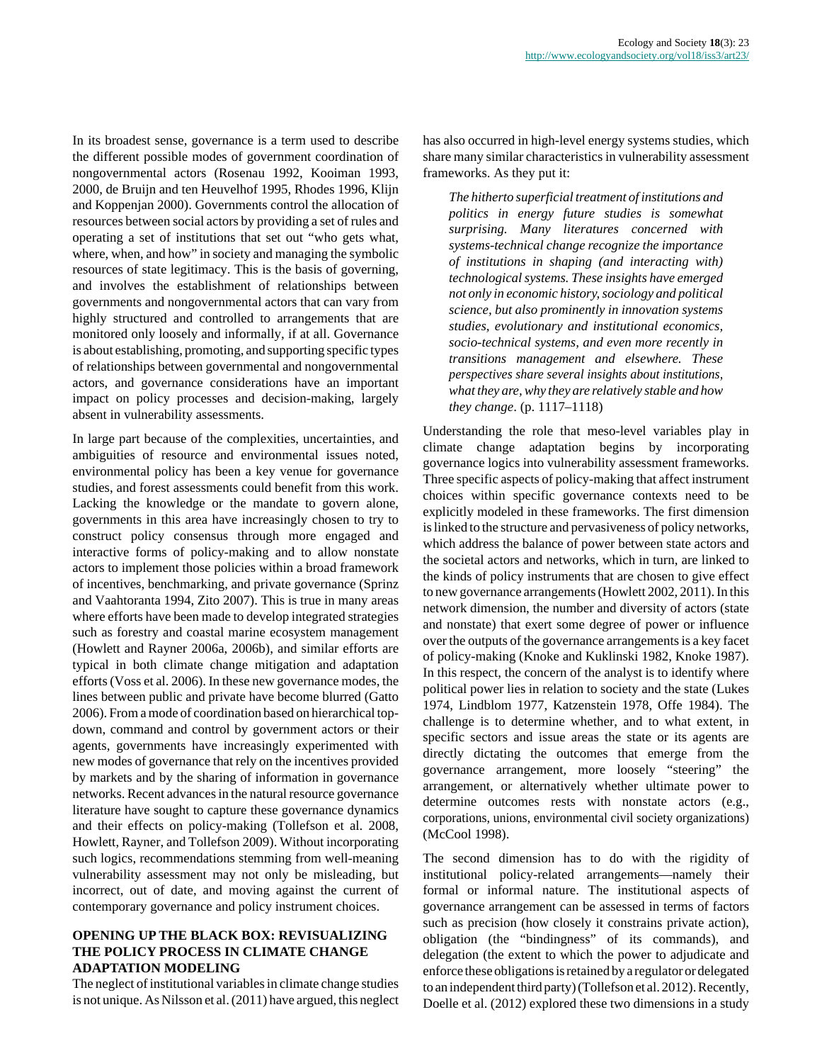In its broadest sense, governance is a term used to describe the different possible modes of government coordination of nongovernmental actors (Rosenau 1992, Kooiman 1993, 2000, de Bruijn and ten Heuvelhof 1995, Rhodes 1996, Klijn and Koppenjan 2000). Governments control the allocation of resources between social actors by providing a set of rules and operating a set of institutions that set out "who gets what, where, when, and how" in society and managing the symbolic resources of state legitimacy. This is the basis of governing, and involves the establishment of relationships between governments and nongovernmental actors that can vary from highly structured and controlled to arrangements that are monitored only loosely and informally, if at all. Governance is about establishing, promoting, and supporting specific types of relationships between governmental and nongovernmental actors, and governance considerations have an important impact on policy processes and decision-making, largely absent in vulnerability assessments.

In large part because of the complexities, uncertainties, and ambiguities of resource and environmental issues noted, environmental policy has been a key venue for governance studies, and forest assessments could benefit from this work. Lacking the knowledge or the mandate to govern alone, governments in this area have increasingly chosen to try to construct policy consensus through more engaged and interactive forms of policy-making and to allow nonstate actors to implement those policies within a broad framework of incentives, benchmarking, and private governance (Sprinz and Vaahtoranta 1994, Zito 2007). This is true in many areas where efforts have been made to develop integrated strategies such as forestry and coastal marine ecosystem management (Howlett and Rayner 2006a, 2006b), and similar efforts are typical in both climate change mitigation and adaptation efforts (Voss et al. 2006). In these new governance modes, the lines between public and private have become blurred (Gatto 2006). From a mode of coordination based on hierarchical topdown, command and control by government actors or their agents, governments have increasingly experimented with new modes of governance that rely on the incentives provided by markets and by the sharing of information in governance networks. Recent advances in the natural resource governance literature have sought to capture these governance dynamics and their effects on policy-making (Tollefson et al. 2008, Howlett, Rayner, and Tollefson 2009). Without incorporating such logics, recommendations stemming from well-meaning vulnerability assessment may not only be misleading, but incorrect, out of date, and moving against the current of contemporary governance and policy instrument choices.

#### **OPENING UP THE BLACK BOX: REVISUALIZING THE POLICY PROCESS IN CLIMATE CHANGE ADAPTATION MODELING**

The neglect of institutional variables in climate change studies is not unique. As Nilsson et al. (2011) have argued, this neglect has also occurred in high-level energy systems studies, which share many similar characteristics in vulnerability assessment frameworks. As they put it:

*The hitherto superficial treatment of institutions and politics in energy future studies is somewhat surprising. Many literatures concerned with systems-technical change recognize the importance of institutions in shaping (and interacting with) technological systems. These insights have emerged not only in economic history, sociology and political science, but also prominently in innovation systems studies, evolutionary and institutional economics, socio-technical systems, and even more recently in transitions management and elsewhere. These perspectives share several insights about institutions, what they are, why they are relatively stable and how they change*. (p. 1117–1118)

Understanding the role that meso-level variables play in climate change adaptation begins by incorporating governance logics into vulnerability assessment frameworks. Three specific aspects of policy-making that affect instrument choices within specific governance contexts need to be explicitly modeled in these frameworks. The first dimension is linked to the structure and pervasiveness of policy networks, which address the balance of power between state actors and the societal actors and networks, which in turn, are linked to the kinds of policy instruments that are chosen to give effect to new governance arrangements (Howlett 2002, 2011). In this network dimension, the number and diversity of actors (state and nonstate) that exert some degree of power or influence over the outputs of the governance arrangements is a key facet of policy-making (Knoke and Kuklinski 1982, Knoke 1987). In this respect, the concern of the analyst is to identify where political power lies in relation to society and the state (Lukes 1974, Lindblom 1977, Katzenstein 1978, Offe 1984). The challenge is to determine whether, and to what extent, in specific sectors and issue areas the state or its agents are directly dictating the outcomes that emerge from the governance arrangement, more loosely "steering" the arrangement, or alternatively whether ultimate power to determine outcomes rests with nonstate actors (e.g., corporations, unions, environmental civil society organizations) (McCool 1998).

The second dimension has to do with the rigidity of institutional policy-related arrangements—namely their formal or informal nature. The institutional aspects of governance arrangement can be assessed in terms of factors such as precision (how closely it constrains private action), obligation (the "bindingness" of its commands), and delegation (the extent to which the power to adjudicate and enforce these obligations is retained by a regulator or delegated to an independent third party) (Tollefson et al. 2012). Recently, Doelle et al. (2012) explored these two dimensions in a study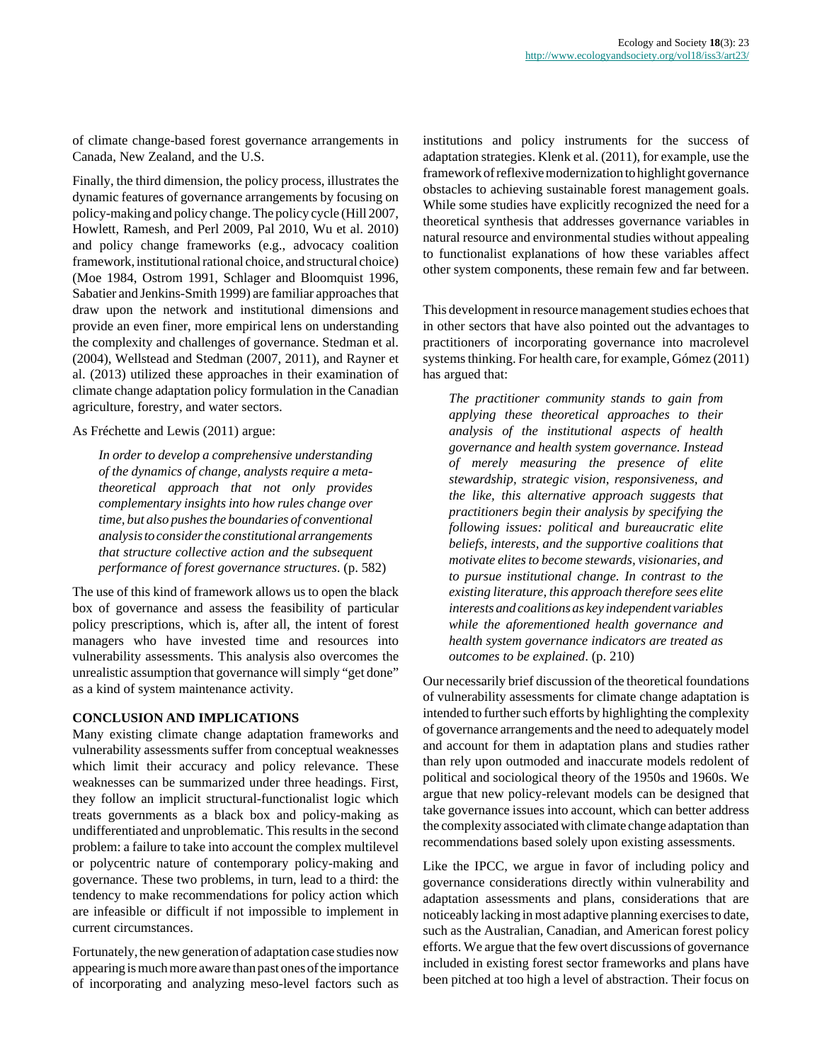of climate change-based forest governance arrangements in Canada, New Zealand, and the U.S.

Finally, the third dimension, the policy process, illustrates the dynamic features of governance arrangements by focusing on policy-making and policy change. The policy cycle (Hill 2007, Howlett, Ramesh, and Perl 2009, Pal 2010, Wu et al. 2010) and policy change frameworks (e.g., advocacy coalition framework, institutional rational choice, and structural choice) (Moe 1984, Ostrom 1991, Schlager and Bloomquist 1996, Sabatier and Jenkins-Smith 1999) are familiar approaches that draw upon the network and institutional dimensions and provide an even finer, more empirical lens on understanding the complexity and challenges of governance. Stedman et al. (2004), Wellstead and Stedman (2007, 2011), and Rayner et al. (2013) utilized these approaches in their examination of climate change adaptation policy formulation in the Canadian agriculture, forestry, and water sectors.

#### As Fréchette and Lewis (2011) argue:

*In order to develop a comprehensive understanding of the dynamics of change, analysts require a metatheoretical approach that not only provides complementary insights into how rules change over time, but also pushes the boundaries of conventional analysis to consider the constitutional arrangements that structure collective action and the subsequent performance of forest governance structures*. (p. 582)

The use of this kind of framework allows us to open the black box of governance and assess the feasibility of particular policy prescriptions, which is, after all, the intent of forest managers who have invested time and resources into vulnerability assessments. This analysis also overcomes the unrealistic assumption that governance will simply "get done" as a kind of system maintenance activity.

#### **CONCLUSION AND IMPLICATIONS**

Many existing climate change adaptation frameworks and vulnerability assessments suffer from conceptual weaknesses which limit their accuracy and policy relevance. These weaknesses can be summarized under three headings. First, they follow an implicit structural-functionalist logic which treats governments as a black box and policy-making as undifferentiated and unproblematic. This results in the second problem: a failure to take into account the complex multilevel or polycentric nature of contemporary policy-making and governance. These two problems, in turn, lead to a third: the tendency to make recommendations for policy action which are infeasible or difficult if not impossible to implement in current circumstances.

Fortunately, the new generation of adaptation case studies now appearing is much more aware than past ones of the importance of incorporating and analyzing meso-level factors such as institutions and policy instruments for the success of adaptation strategies. Klenk et al. (2011), for example, use the framework of reflexive modernization to highlight governance obstacles to achieving sustainable forest management goals. While some studies have explicitly recognized the need for a theoretical synthesis that addresses governance variables in natural resource and environmental studies without appealing to functionalist explanations of how these variables affect other system components, these remain few and far between.

This development in resource management studies echoes that in other sectors that have also pointed out the advantages to practitioners of incorporating governance into macrolevel systems thinking. For health care, for example, Gómez (2011) has argued that:

*The practitioner community stands to gain from applying these theoretical approaches to their analysis of the institutional aspects of health governance and health system governance. Instead of merely measuring the presence of elite stewardship, strategic vision, responsiveness, and the like, this alternative approach suggests that practitioners begin their analysis by specifying the following issues: political and bureaucratic elite beliefs, interests, and the supportive coalitions that motivate elites to become stewards, visionaries, and to pursue institutional change. In contrast to the existing literature, this approach therefore sees elite interests and coalitions as key independent variables while the aforementioned health governance and health system governance indicators are treated as outcomes to be explained*. (p. 210)

Our necessarily brief discussion of the theoretical foundations of vulnerability assessments for climate change adaptation is intended to further such efforts by highlighting the complexity of governance arrangements and the need to adequately model and account for them in adaptation plans and studies rather than rely upon outmoded and inaccurate models redolent of political and sociological theory of the 1950s and 1960s. We argue that new policy-relevant models can be designed that take governance issues into account, which can better address the complexity associated with climate change adaptation than recommendations based solely upon existing assessments.

Like the IPCC, we argue in favor of including policy and governance considerations directly within vulnerability and adaptation assessments and plans, considerations that are noticeably lacking in most adaptive planning exercises to date, such as the Australian, Canadian, and American forest policy efforts. We argue that the few overt discussions of governance included in existing forest sector frameworks and plans have been pitched at too high a level of abstraction. Their focus on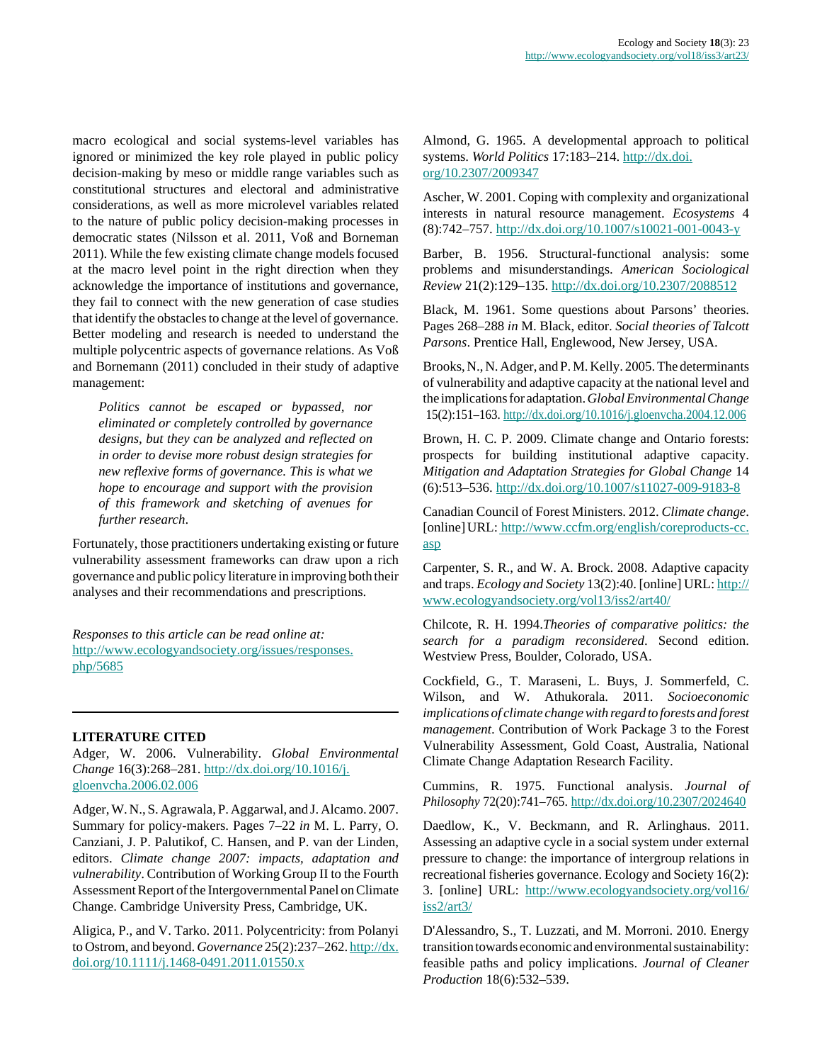macro ecological and social systems-level variables has ignored or minimized the key role played in public policy decision-making by meso or middle range variables such as constitutional structures and electoral and administrative considerations, as well as more microlevel variables related to the nature of public policy decision-making processes in democratic states (Nilsson et al. 2011, Voß and Borneman 2011). While the few existing climate change models focused at the macro level point in the right direction when they acknowledge the importance of institutions and governance, they fail to connect with the new generation of case studies that identify the obstacles to change at the level of governance. Better modeling and research is needed to understand the multiple polycentric aspects of governance relations. As Voß and Bornemann (2011) concluded in their study of adaptive management:

*Politics cannot be escaped or bypassed, nor eliminated or completely controlled by governance designs, but they can be analyzed and reflected on in order to devise more robust design strategies for new reflexive forms of governance. This is what we hope to encourage and support with the provision of this framework and sketching of avenues for further research*.

Fortunately, those practitioners undertaking existing or future vulnerability assessment frameworks can draw upon a rich governance and public policy literature in improving both their analyses and their recommendations and prescriptions.

*Responses to this article can be read online at:* [http://www.ecologyandsociety.org/issues/responses.](http://www.ecologyandsociety.org/issues/responses.php/5685) [php/5685](http://www.ecologyandsociety.org/issues/responses.php/5685)

#### **LITERATURE CITED**

Adger, W. 2006. Vulnerability. *Global Environmental Change* 16(3):268–281. [http://dx.doi.org/10.1016/j.](http://dx.doi.org/10.1016/j.gloenvcha.2006.02.006) [gloenvcha.2006.02.006](http://dx.doi.org/10.1016/j.gloenvcha.2006.02.006)

Adger, W. N., S. Agrawala, P. Aggarwal, and J. Alcamo. 2007. Summary for policy-makers. Pages 7–22 *in* M. L. Parry, O. Canziani, J. P. Palutikof, C. Hansen, and P. van der Linden, editors. *Climate change 2007: impacts, adaptation and vulnerability*. Contribution of Working Group II to the Fourth Assessment Report of the Intergovernmental Panel on Climate Change. Cambridge University Press, Cambridge, UK.

Aligica, P., and V. Tarko. 2011. Polycentricity: from Polanyi to Ostrom, and beyond. *Governance* 25(2):237–262. [http://dx.](http://dx.doi.org/10.1111/j.1468-0491.2011.01550.x) [doi.org/10.1111/j.1468-0491.2011.01550.x](http://dx.doi.org/10.1111/j.1468-0491.2011.01550.x)

Almond, G. 1965. A developmental approach to political systems. *World Politics* 17:183–214. [http://dx.doi.](http://dx.doi.org/10.2307/2009347) [org/10.2307/2009347](http://dx.doi.org/10.2307/2009347)

Ascher, W. 2001. Coping with complexity and organizational interests in natural resource management. *Ecosystems* 4 (8):742–757.<http://dx.doi.org/10.1007/s10021-001-0043-y>

Barber, B. 1956. Structural-functional analysis: some problems and misunderstandings. *American Sociological Review* 21(2):129–135. <http://dx.doi.org/10.2307/2088512>

Black, M. 1961. Some questions about Parsons' theories. Pages 268–288 *in* M. Black, editor. *Social theories of Talcott Parsons*. Prentice Hall, Englewood, New Jersey, USA.

Brooks, N., N. Adger, and P. M. Kelly. 2005. The determinants of vulnerability and adaptive capacity at the national level and the implications for adaptation. *Global Environmental Change* 15(2):151–163. <http://dx.doi.org/10.1016/j.gloenvcha.2004.12.006>

Brown, H. C. P. 2009. Climate change and Ontario forests: prospects for building institutional adaptive capacity. *Mitigation and Adaptation Strategies for Global Change* 14 (6):513–536.<http://dx.doi.org/10.1007/s11027-009-9183-8>

Canadian Council of Forest Ministers. 2012. *Climate change*. [online] URL: [http://www.ccfm.org/english/coreproducts-cc.](http://www.ccfm.org/english/coreproducts-cc.asp) [asp](http://www.ccfm.org/english/coreproducts-cc.asp)

Carpenter, S. R., and W. A. Brock. 2008. Adaptive capacity and traps. *Ecology and Society* 13(2):40. [online] URL: [http://](http://www.ecologyandsociety.org/vol13/iss2/art40/) [www.ecologyandsociety.org/vol13/iss2/art40/](http://www.ecologyandsociety.org/vol13/iss2/art40/)

Chilcote, R. H. 1994.*Theories of comparative politics: the search for a paradigm reconsidered*. Second edition. Westview Press, Boulder, Colorado, USA.

Cockfield, G., T. Maraseni, L. Buys, J. Sommerfeld, C. Wilson, and W. Athukorala. 2011. *Socioeconomic implications of climate change with regard to forests and forest management*. Contribution of Work Package 3 to the Forest Vulnerability Assessment, Gold Coast, Australia, National Climate Change Adaptation Research Facility.

Cummins, R. 1975. Functional analysis. *Journal of Philosophy* 72(20):741–765.<http://dx.doi.org/10.2307/2024640>

Daedlow, K., V. Beckmann, and R. Arlinghaus. 2011. Assessing an adaptive cycle in a social system under external pressure to change: the importance of intergroup relations in recreational fisheries governance. Ecology and Society 16(2): 3. [online] URL: [http://www.ecologyandsociety.org/vol16/](http://www.ecologyandsociety.org/vol16/iss2/art3/) [iss2/art3/](http://www.ecologyandsociety.org/vol16/iss2/art3/)

D'Alessandro, S., T. Luzzati, and M. Morroni. 2010. Energy transition towards economic and environmental sustainability: feasible paths and policy implications. *Journal of Cleaner Production* 18(6):532–539.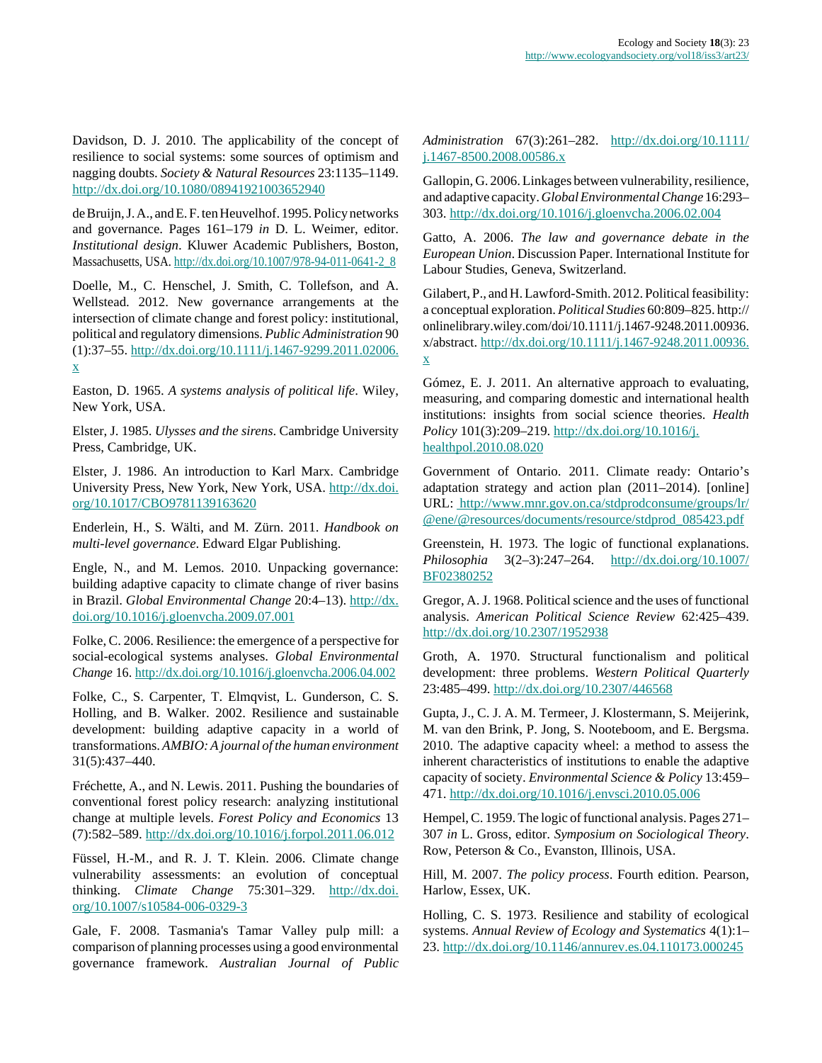Davidson, D. J. 2010. The applicability of the concept of resilience to social systems: some sources of optimism and nagging doubts. *Society & Natural Resources* 23:1135–1149. <http://dx.doi.org/10.1080/08941921003652940>

de Bruijn, J. A., and E. F. ten Heuvelhof. 1995. Policy networks and governance. Pages 161–179 *in* D. L. Weimer, editor. *Institutional design*. Kluwer Academic Publishers, Boston, Massachusetts, USA. [http://dx.doi.org/10.1007/978-94-011-0641-2\\_8](http://dx.doi.org/10.1007/978-94-011-0641-2_8)

Doelle, M., C. Henschel, J. Smith, C. Tollefson, and A. Wellstead. 2012. New governance arrangements at the intersection of climate change and forest policy: institutional, political and regulatory dimensions. *Public Administration* 90 (1):37–55. [http://dx.doi.org/10.1111/j.1467-9299.2011.02006.](http://dx.doi.org/10.1111/j.1467-9299.2011.02006.x) [x](http://dx.doi.org/10.1111/j.1467-9299.2011.02006.x)

Easton, D. 1965. *A systems analysis of political life*. Wiley, New York, USA.

Elster, J. 1985. *Ulysses and the sirens*. Cambridge University Press, Cambridge, UK.

Elster, J. 1986. An introduction to Karl Marx. Cambridge University Press, New York, New York, USA. [http://dx.doi.](http://dx.doi.org/10.1017/CBO9781139163620) [org/10.1017/CBO9781139163620](http://dx.doi.org/10.1017/CBO9781139163620)

Enderlein, H., S. Wälti, and M. Zürn. 2011. *Handbook on multi-level governance*. Edward Elgar Publishing.

Engle, N., and M. Lemos. 2010. Unpacking governance: building adaptive capacity to climate change of river basins in Brazil. *Global Environmental Change* 20:4–13). [http://dx.](http://dx.doi.org/10.1016/j.gloenvcha.2009.07.001) [doi.org/10.1016/j.gloenvcha.2009.07.001](http://dx.doi.org/10.1016/j.gloenvcha.2009.07.001)

Folke, C. 2006. Resilience: the emergence of a perspective for social-ecological systems analyses. *Global Environmental Change* 16. <http://dx.doi.org/10.1016/j.gloenvcha.2006.04.002>

Folke, C., S. Carpenter, T. Elmqvist, L. Gunderson, C. S. Holling, and B. Walker. 2002. Resilience and sustainable development: building adaptive capacity in a world of transformations. *AMBIO: A journal of the human environment* 31(5):437–440.

Fréchette, A., and N. Lewis. 2011. Pushing the boundaries of conventional forest policy research: analyzing institutional change at multiple levels. *Forest Policy and Economics* 13 (7):582–589.<http://dx.doi.org/10.1016/j.forpol.2011.06.012>

Füssel, H.-M., and R. J. T. Klein. 2006. Climate change vulnerability assessments: an evolution of conceptual thinking. *Climate Change* 75:301–329. [http://dx.doi.](http://dx.doi.org/10.1007/s10584-006-0329-3) [org/10.1007/s10584-006-0329-3](http://dx.doi.org/10.1007/s10584-006-0329-3)

Gale, F. 2008. Tasmania's Tamar Valley pulp mill: a comparison of planning processes using a good environmental governance framework. *Australian Journal of Public* *Administration* 67(3):261–282. [http://dx.doi.org/10.1111/](http://dx.doi.org/10.1111/j.1467-8500.2008.00586.x) [j.1467-8500.2008.00586.x](http://dx.doi.org/10.1111/j.1467-8500.2008.00586.x)

Gallopin, G. 2006. Linkages between vulnerability, resilience, and adaptive capacity. *Global Environmental Change* 16:293– 303. <http://dx.doi.org/10.1016/j.gloenvcha.2006.02.004>

Gatto, A. 2006. *The law and governance debate in the European Union*. Discussion Paper. International Institute for Labour Studies, Geneva, Switzerland.

Gilabert, P., and H. Lawford-Smith. 2012. Political feasibility: a conceptual exploration. *Political Studies* 60:809–825. http:// onlinelibrary.wiley.com/doi/10.1111/j.1467-9248.2011.00936. x/abstract. [http://dx.doi.org/10.1111/j.1467-9248.2011.00936.](http://dx.doi.org/10.1111/j.1467-9248.2011.00936.x) [x](http://dx.doi.org/10.1111/j.1467-9248.2011.00936.x)

Gómez, E. J. 2011. An alternative approach to evaluating, measuring, and comparing domestic and international health institutions: insights from social science theories. *Health Policy* 101(3):209–219. [http://dx.doi.org/10.1016/j.](http://dx.doi.org/10.1016/j.healthpol.2010.08.020) [healthpol.2010.08.020](http://dx.doi.org/10.1016/j.healthpol.2010.08.020)

Government of Ontario. 2011. Climate ready: Ontario's adaptation strategy and action plan (2011–2014). [online] URL: [http://www.mnr.gov.on.ca/stdprodconsume/groups/lr/](http://www.mnr.gov.on.ca/stdprodconsume/groups/lr/@ene/@resources/documents/resource/stdprod_085423.pdf) [@ene/@resources/documents/resource/stdprod\\_085423.pdf](http://www.mnr.gov.on.ca/stdprodconsume/groups/lr/@ene/@resources/documents/resource/stdprod_085423.pdf)

Greenstein, H. 1973. The logic of functional explanations. *Philosophia* 3(2–3):247–264. [http://dx.doi.org/10.1007/](http://dx.doi.org/10.1007/BF02380252) [BF02380252](http://dx.doi.org/10.1007/BF02380252)

Gregor, A. J. 1968. Political science and the uses of functional analysis. *American Political Science Review* 62:425–439. <http://dx.doi.org/10.2307/1952938>

Groth, A. 1970. Structural functionalism and political development: three problems. *Western Political Quarterly* 23:485–499. <http://dx.doi.org/10.2307/446568>

Gupta, J., C. J. A. M. Termeer, J. Klostermann, S. Meijerink, M. van den Brink, P. Jong, S. Nooteboom, and E. Bergsma. 2010. The adaptive capacity wheel: a method to assess the inherent characteristics of institutions to enable the adaptive capacity of society. *Environmental Science & Policy* 13:459– 471.<http://dx.doi.org/10.1016/j.envsci.2010.05.006>

Hempel, C. 1959. The logic of functional analysis. Pages 271– 307 *in* L. Gross, editor. *Symposium on Sociological Theory*. Row, Peterson & Co., Evanston, Illinois, USA.

Hill, M. 2007. *The policy process*. Fourth edition. Pearson, Harlow, Essex, UK.

Holling, C. S. 1973. Resilience and stability of ecological systems. *Annual Review of Ecology and Systematics* 4(1):1– 23.<http://dx.doi.org/10.1146/annurev.es.04.110173.000245>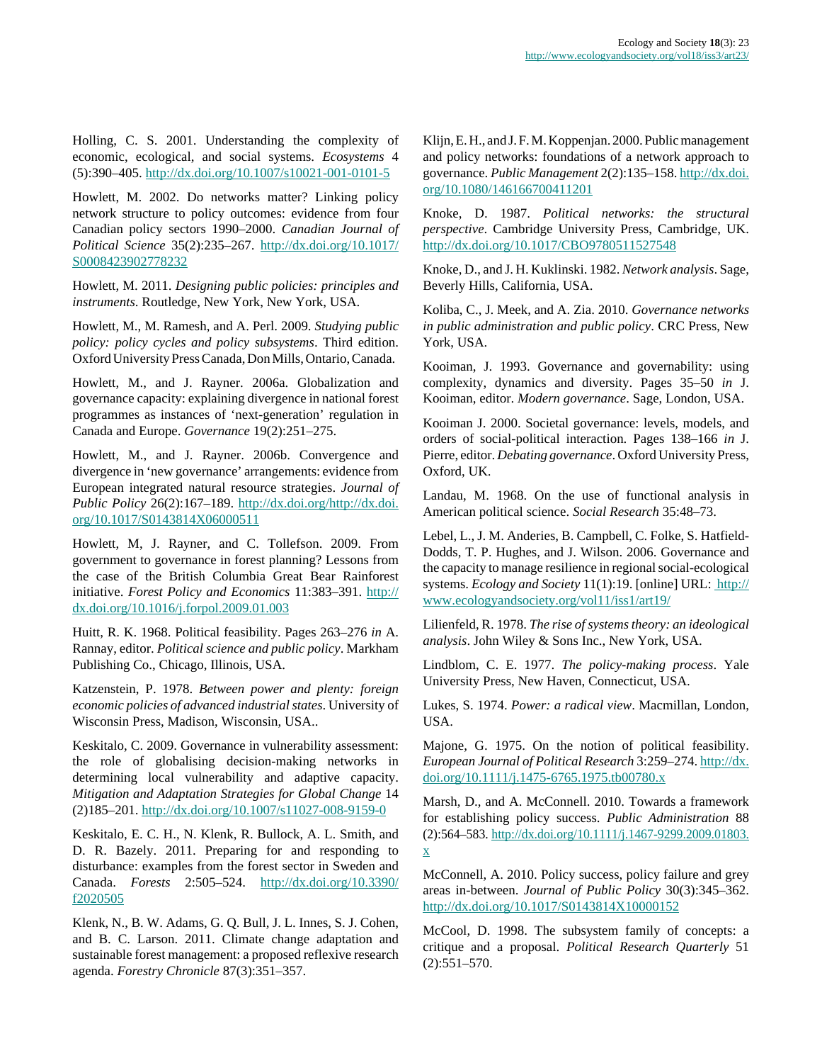Holling, C. S. 2001. Understanding the complexity of economic, ecological, and social systems. *Ecosystems* 4 (5):390–405.<http://dx.doi.org/10.1007/s10021-001-0101-5>

Howlett, M. 2002. Do networks matter? Linking policy network structure to policy outcomes: evidence from four Canadian policy sectors 1990–2000. *Canadian Journal of Political Science* 35(2):235–267. [http://dx.doi.org/10.1017/](http://dx.doi.org/10.1017/S0008423902778232) [S0008423902778232](http://dx.doi.org/10.1017/S0008423902778232)

Howlett, M. 2011. *Designing public policies: principles and instruments*. Routledge, New York, New York, USA.

Howlett, M., M. Ramesh, and A. Perl. 2009. *Studying public policy: policy cycles and policy subsystems*. Third edition. Oxford University Press Canada, Don Mills, Ontario, Canada.

Howlett, M., and J. Rayner. 2006a. Globalization and governance capacity: explaining divergence in national forest programmes as instances of 'next-generation' regulation in Canada and Europe. *Governance* 19(2):251–275.

Howlett, M., and J. Rayner. 2006b. Convergence and divergence in 'new governance' arrangements: evidence from European integrated natural resource strategies. *Journal of Public Policy* 26(2):167–189. [http://dx.doi.org/http://dx.doi.](http://dx.doi.org/http://dx.doi.org/10.1017/S0143814X06000511) [org/10.1017/S0143814X06000511](http://dx.doi.org/http://dx.doi.org/10.1017/S0143814X06000511)

Howlett, M, J. Rayner, and C. Tollefson. 2009. From government to governance in forest planning? Lessons from the case of the British Columbia Great Bear Rainforest initiative. *Forest Policy and Economics* 11:383–391. [http://](http://dx.doi.org/10.1016/j.forpol.2009.01.003) [dx.doi.org/10.1016/j.forpol.2009.01.003](http://dx.doi.org/10.1016/j.forpol.2009.01.003)

Huitt, R. K. 1968. Political feasibility. Pages 263–276 *in* A. Rannay, editor. *Political science and public policy*. Markham Publishing Co., Chicago, Illinois, USA.

Katzenstein, P. 1978. *Between power and plenty: foreign economic policies of advanced industrial states*. University of Wisconsin Press, Madison, Wisconsin, USA..

Keskitalo, C. 2009. Governance in vulnerability assessment: the role of globalising decision-making networks in determining local vulnerability and adaptive capacity. *Mitigation and Adaptation Strategies for Global Change* 14 (2)185–201. <http://dx.doi.org/10.1007/s11027-008-9159-0>

Keskitalo, E. C. H., N. Klenk, R. Bullock, A. L. Smith, and D. R. Bazely. 2011. Preparing for and responding to disturbance: examples from the forest sector in Sweden and Canada. *Forests* 2:505–524. [http://dx.doi.org/10.3390/](http://dx.doi.org/10.3390/f2020505) [f2020505](http://dx.doi.org/10.3390/f2020505)

Klenk, N., B. W. Adams, G. Q. Bull, J. L. Innes, S. J. Cohen, and B. C. Larson. 2011. Climate change adaptation and sustainable forest management: a proposed reflexive research agenda. *Forestry Chronicle* 87(3):351–357.

Klijn, E. H., and J. F. M. Koppenjan. 2000. Public management and policy networks: foundations of a network approach to governance. *Public Management* 2(2):135–158. [http://dx.doi.](http://dx.doi.org/10.1080/146166700411201) [org/10.1080/146166700411201](http://dx.doi.org/10.1080/146166700411201)

Knoke, D. 1987. *Political networks: the structural perspective*. Cambridge University Press, Cambridge, UK. <http://dx.doi.org/10.1017/CBO9780511527548>

Knoke, D., and J. H. Kuklinski. 1982. *Network analysis*. Sage, Beverly Hills, California, USA.

Koliba, C., J. Meek, and A. Zia. 2010. *Governance networks in public administration and public policy*. CRC Press, New York, USA.

Kooiman, J. 1993. Governance and governability: using complexity, dynamics and diversity. Pages 35–50 *in* J. Kooiman, editor. *Modern governance*. Sage, London, USA.

Kooiman J. 2000. Societal governance: levels, models, and orders of social-political interaction. Pages 138–166 *in* J. Pierre, editor. *Debating governance*. Oxford University Press, Oxford, UK.

Landau, M. 1968. On the use of functional analysis in American political science. *Social Research* 35:48–73.

Lebel, L., J. M. Anderies, B. Campbell, C. Folke, S. Hatfield-Dodds, T. P. Hughes, and J. Wilson. 2006. Governance and the capacity to manage resilience in regional social-ecological systems. *Ecology and Society* 11(1):19. [online] URL: [http://](http://www.ecologyandsociety.org/vol11/iss1/art19/) [www.ecologyandsociety.org/vol11/iss1/art19/](http://www.ecologyandsociety.org/vol11/iss1/art19/)

Lilienfeld, R. 1978. *The rise of systems theory: an ideological analysis*. John Wiley & Sons Inc., New York, USA.

Lindblom, C. E. 1977. *The policy-making process*. Yale University Press, New Haven, Connecticut, USA.

Lukes, S. 1974. *Power: a radical view*. Macmillan, London, USA.

Majone, G. 1975. On the notion of political feasibility. *European Journal of Political Research* 3:259–274. [http://dx.](http://dx.doi.org/10.1111/j.1475-6765.1975.tb00780.x) [doi.org/10.1111/j.1475-6765.1975.tb00780.x](http://dx.doi.org/10.1111/j.1475-6765.1975.tb00780.x)

Marsh, D., and A. McConnell. 2010. Towards a framework for establishing policy success. *Public Administration* 88 (2):564–583. [http://dx.doi.org/10.1111/j.1467-9299.2009.01803.](http://dx.doi.org/10.1111/j.1467-9299.2009.01803.x) [x](http://dx.doi.org/10.1111/j.1467-9299.2009.01803.x)

McConnell, A. 2010. Policy success, policy failure and grey areas in-between. *Journal of Public Policy* 30(3):345–362. <http://dx.doi.org/10.1017/S0143814X10000152>

McCool, D. 1998. The subsystem family of concepts: a critique and a proposal. *Political Research Quarterly* 51 (2):551–570.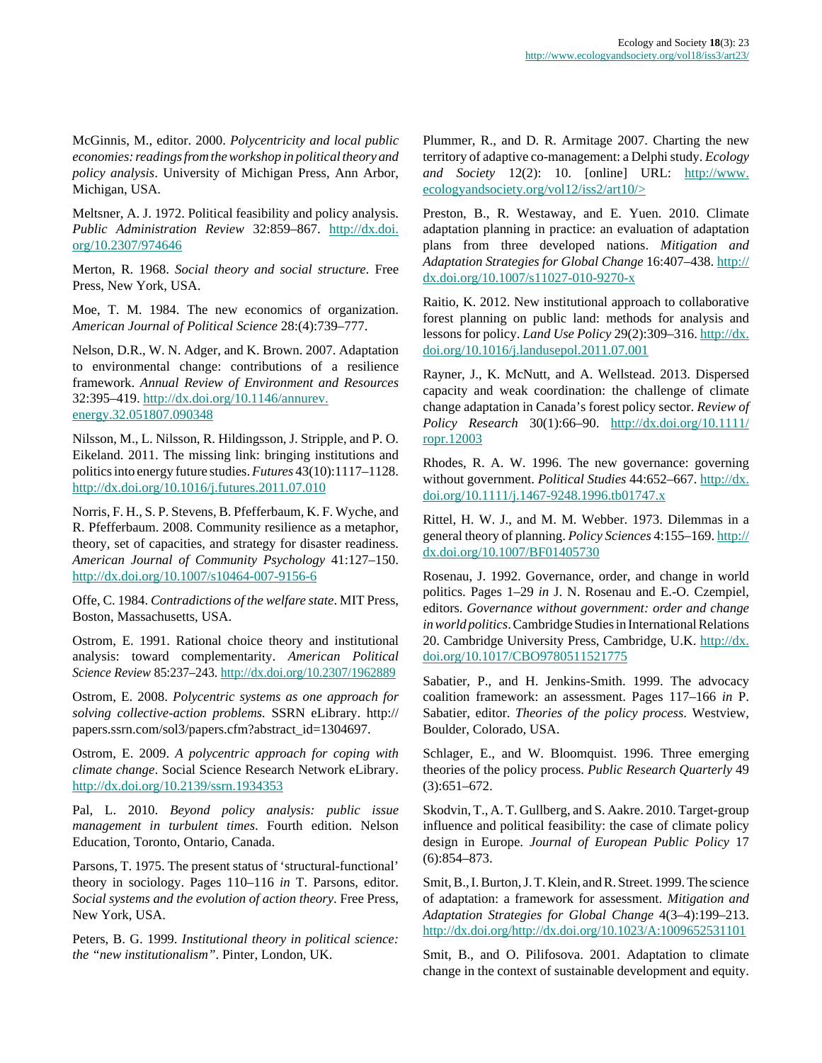McGinnis, M., editor. 2000. *Polycentricity and local public economies: readings from the workshop in political theory and policy analysis*. University of Michigan Press, Ann Arbor, Michigan, USA.

Meltsner, A. J. 1972. Political feasibility and policy analysis. *Public Administration Review* 32:859–867. [http://dx.doi.](http://dx.doi.org/10.2307/974646) [org/10.2307/974646](http://dx.doi.org/10.2307/974646)

Merton, R. 1968. *Social theory and social structure*. Free Press, New York, USA.

Moe, T. M. 1984. The new economics of organization. *American Journal of Political Science* 28:(4):739–777.

Nelson, D.R., W. N. Adger, and K. Brown. 2007. Adaptation to environmental change: contributions of a resilience framework. *Annual Review of Environment and Resources* 32:395–419. [http://dx.doi.org/10.1146/annurev.](http://dx.doi.org/10.1146/annurev.energy.32.051807.090348) [energy.32.051807.090348](http://dx.doi.org/10.1146/annurev.energy.32.051807.090348)

Nilsson, M., L. Nilsson, R. Hildingsson, J. Stripple, and P. O. Eikeland. 2011. The missing link: bringing institutions and politics into energy future studies. *Futures* 43(10):1117–1128. <http://dx.doi.org/10.1016/j.futures.2011.07.010>

Norris, F. H., S. P. Stevens, B. Pfefferbaum, K. F. Wyche, and R. Pfefferbaum. 2008. Community resilience as a metaphor, theory, set of capacities, and strategy for disaster readiness. *American Journal of Community Psychology* 41:127–150. <http://dx.doi.org/10.1007/s10464-007-9156-6>

Offe, C. 1984. *Contradictions of the welfare state*. MIT Press, Boston, Massachusetts, USA.

Ostrom, E. 1991. Rational choice theory and institutional analysis: toward complementarity. *American Political Science Review* 85:237–243.<http://dx.doi.org/10.2307/1962889>

Ostrom, E. 2008. *Polycentric systems as one approach for solving collective-action problems.* SSRN eLibrary. http:// papers.ssrn.com/sol3/papers.cfm?abstract\_id=1304697.

Ostrom, E. 2009. *A polycentric approach for coping with climate change*. Social Science Research Network eLibrary. <http://dx.doi.org/10.2139/ssrn.1934353>

Pal, L. 2010. *Beyond policy analysis: public issue management in turbulent times*. Fourth edition. Nelson Education, Toronto, Ontario, Canada.

Parsons, T. 1975. The present status of 'structural-functional' theory in sociology. Pages 110–116 *in* T. Parsons, editor. *Social systems and the evolution of action theory*. Free Press, New York, USA.

Peters, B. G. 1999. *Institutional theory in political science: the "new institutionalism"*. Pinter, London, UK.

Plummer, R., and D. R. Armitage 2007. Charting the new territory of adaptive co-management: a Delphi study. *Ecology and Society* 12(2): 10. [online] URL: [http://www.](http://www.ecologyandsociety.org/vol12/iss2/art10/) [ecologyandsociety.org/vol12/iss2/art10/>](http://www.ecologyandsociety.org/vol12/iss2/art10/)

Preston, B., R. Westaway, and E. Yuen. 2010. Climate adaptation planning in practice: an evaluation of adaptation plans from three developed nations. *Mitigation and Adaptation Strategies for Global Change* 16:407–438. [http://](http://dx.doi.org/10.1007/s11027-010-9270-x) [dx.doi.org/10.1007/s11027-010-9270-x](http://dx.doi.org/10.1007/s11027-010-9270-x)

Raitio, K. 2012. New institutional approach to collaborative forest planning on public land: methods for analysis and lessons for policy. *Land Use Policy* 29(2):309–316. [http://dx.](http://dx.doi.org/10.1016/j.landusepol.2011.07.001) [doi.org/10.1016/j.landusepol.2011.07.001](http://dx.doi.org/10.1016/j.landusepol.2011.07.001) 

Rayner, J., K. McNutt, and A. Wellstead. 2013. Dispersed capacity and weak coordination: the challenge of climate change adaptation in Canada's forest policy sector. *Review of Policy Research* 30(1):66–90. [http://dx.doi.org/10.1111/](http://dx.doi.org/10.1111/ropr.12003) [ropr.12003](http://dx.doi.org/10.1111/ropr.12003)

Rhodes, R. A. W. 1996. The new governance: governing without government. *Political Studies* 44:652–667. [http://dx.](http://dx.doi.org/10.1111/j.1467-9248.1996.tb01747.x) [doi.org/10.1111/j.1467-9248.1996.tb01747.x](http://dx.doi.org/10.1111/j.1467-9248.1996.tb01747.x)

Rittel, H. W. J., and M. M. Webber. 1973. Dilemmas in a general theory of planning. *Policy Sciences* 4:155–169. [http://](http://dx.doi.org/10.1007/BF01405730) [dx.doi.org/10.1007/BF01405730](http://dx.doi.org/10.1007/BF01405730)

Rosenau, J. 1992. Governance, order, and change in world politics. Pages 1–29 *in* J. N. Rosenau and E.-O. Czempiel, editors. *Governance without government: order and change in world politics*. Cambridge Studies in International Relations 20. Cambridge University Press, Cambridge, U.K. [http://dx.](http://dx.doi.org/10.1017/CBO9780511521775) [doi.org/10.1017/CBO9780511521775](http://dx.doi.org/10.1017/CBO9780511521775)

Sabatier, P., and H. Jenkins-Smith. 1999. The advocacy coalition framework: an assessment. Pages 117–166 *in* P. Sabatier, editor. *Theories of the policy process*. Westview, Boulder, Colorado, USA.

Schlager, E., and W. Bloomquist. 1996. Three emerging theories of the policy process. *Public Research Quarterly* 49 (3):651–672.

Skodvin, T., A. T. Gullberg, and S. Aakre. 2010. Target-group influence and political feasibility: the case of climate policy design in Europe. *Journal of European Public Policy* 17 (6):854–873.

Smit, B., I. Burton, J. T. Klein, and R. Street. 1999. The science of adaptation: a framework for assessment. *Mitigation and Adaptation Strategies for Global Change* 4(3–4):199–213. <http://dx.doi.org/http://dx.doi.org/10.1023/A:1009652531101>

Smit, B., and O. Pilifosova. 2001. Adaptation to climate change in the context of sustainable development and equity.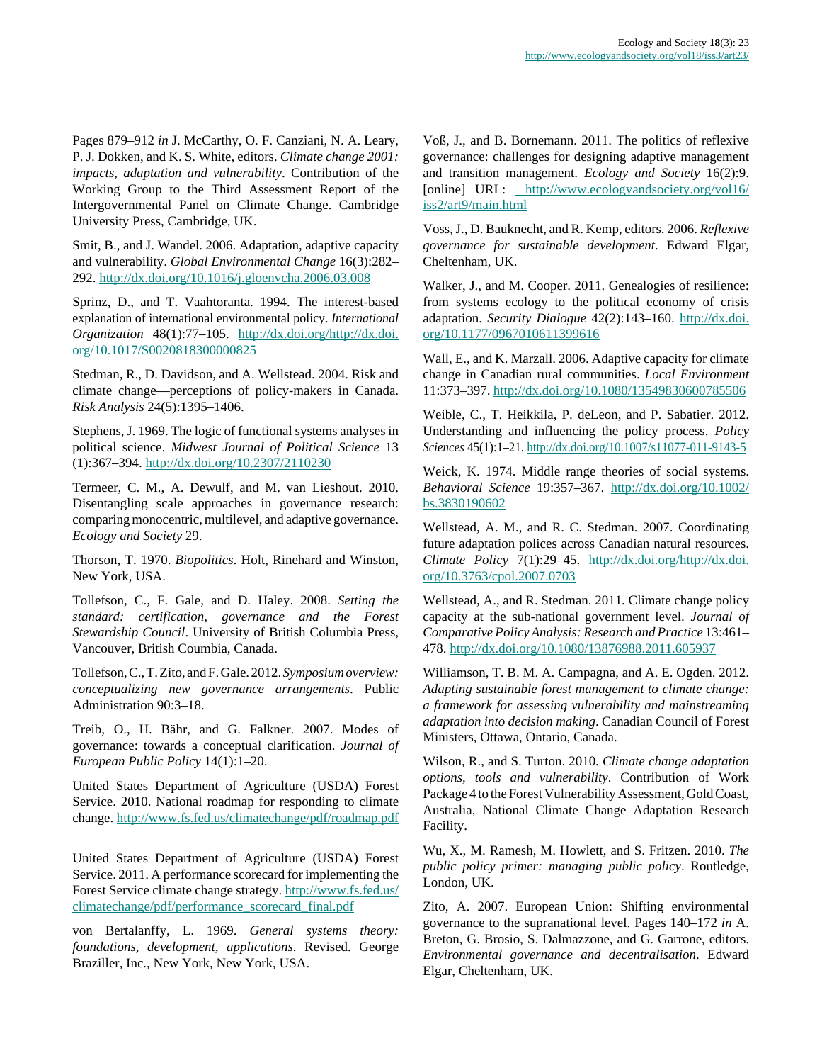Pages 879–912 *in* J. McCarthy, O. F. Canziani, N. A. Leary, P. J. Dokken, and K. S. White, editors. *Climate change 2001: impacts, adaptation and vulnerability*. Contribution of the Working Group to the Third Assessment Report of the Intergovernmental Panel on Climate Change. Cambridge University Press, Cambridge, UK.

Smit, B., and J. Wandel. 2006. Adaptation, adaptive capacity and vulnerability. *Global Environmental Change* 16(3):282– 292. <http://dx.doi.org/10.1016/j.gloenvcha.2006.03.008>

Sprinz, D., and T. Vaahtoranta. 1994. The interest-based explanation of international environmental policy. *International Organization* 48(1):77–105. [http://dx.doi.org/http://dx.doi.](http://dx.doi.org/http://dx.doi.org/10.1017/S0020818300000825) [org/10.1017/S0020818300000825](http://dx.doi.org/http://dx.doi.org/10.1017/S0020818300000825)

Stedman, R., D. Davidson, and A. Wellstead. 2004. Risk and climate change—perceptions of policy-makers in Canada. *Risk Analysis* 24(5):1395–1406.

Stephens, J. 1969. The logic of functional systems analyses in political science. *Midwest Journal of Political Science* 13 (1):367–394.<http://dx.doi.org/10.2307/2110230>

Termeer, C. M., A. Dewulf, and M. van Lieshout. 2010. Disentangling scale approaches in governance research: comparing monocentric, multilevel, and adaptive governance. *Ecology and Society* 29.

Thorson, T. 1970. *Biopolitics*. Holt, Rinehard and Winston, New York, USA.

Tollefson, C., F. Gale, and D. Haley. 2008. *Setting the standard: certification, governance and the Forest Stewardship Council*. University of British Columbia Press, Vancouver, British Coumbia, Canada.

Tollefson, C., T. Zito, and F. Gale. 2012. *Symposium overview: conceptualizing new governance arrangements*. Public Administration 90:3–18.

Treib, O., H. Bähr, and G. Falkner. 2007. Modes of governance: towards a conceptual clarification. *Journal of European Public Policy* 14(1):1–20.

United States Department of Agriculture (USDA) Forest Service. 2010. National roadmap for responding to climate change. <http://www.fs.fed.us/climatechange/pdf/roadmap.pdf>

United States Department of Agriculture (USDA) Forest Service. 2011. A performance scorecard for implementing the Forest Service climate change strategy. [http://www.fs.fed.us/](http://www.fs.fed.us/climatechange/pdf/performance_scorecard_final.pdf) [climatechange/pdf/performance\\_scorecard\\_final.pdf](http://www.fs.fed.us/climatechange/pdf/performance_scorecard_final.pdf)

von Bertalanffy, L. 1969. *General systems theory: foundations, development, applications*. Revised. George Braziller, Inc., New York, New York, USA.

Voß, J., and B. Bornemann. 2011. The politics of reflexive governance: challenges for designing adaptive management and transition management. *Ecology and Society* 16(2):9. [online] URL: [http://www.ecologyandsociety.org/vol16/](http://www.ecologyandsociety.org/vol16/iss2/art9/main.html) [iss2/art9/main.html](http://www.ecologyandsociety.org/vol16/iss2/art9/main.html)

Voss, J., D. Bauknecht, and R. Kemp, editors. 2006. *Reflexive governance for sustainable development*. Edward Elgar, Cheltenham, UK.

Walker, J., and M. Cooper. 2011. Genealogies of resilience: from systems ecology to the political economy of crisis adaptation. *Security Dialogue* 42(2):143–160. [http://dx.doi.](http://dx.doi.org/10.1177/0967010611399616) [org/10.1177/0967010611399616](http://dx.doi.org/10.1177/0967010611399616)

Wall, E., and K. Marzall. 2006. Adaptive capacity for climate change in Canadian rural communities. *Local Environment* 11:373–397.<http://dx.doi.org/10.1080/13549830600785506>

Weible, C., T. Heikkila, P. deLeon, and P. Sabatier. 2012. Understanding and influencing the policy process. *Policy Sciences* 45(1):1–21.<http://dx.doi.org/10.1007/s11077-011-9143-5>

Weick, K. 1974. Middle range theories of social systems. *Behavioral Science* 19:357–367. [http://dx.doi.org/10.1002/](http://dx.doi.org/10.1002/bs.3830190602) [bs.3830190602](http://dx.doi.org/10.1002/bs.3830190602)

Wellstead, A. M., and R. C. Stedman. 2007. Coordinating future adaptation polices across Canadian natural resources. *Climate Policy* 7(1):29–45. [http://dx.doi.org/http://dx.doi.](http://dx.doi.org/http://dx.doi.org/10.3763/cpol.2007.0703) [org/10.3763/cpol.2007.0703](http://dx.doi.org/http://dx.doi.org/10.3763/cpol.2007.0703)

Wellstead, A., and R. Stedman. 2011. Climate change policy capacity at the sub-national government level. *Journal of Comparative Policy Analysis: Research and Practice* 13:461– 478. <http://dx.doi.org/10.1080/13876988.2011.605937>

Williamson, T. B. M. A. Campagna, and A. E. Ogden. 2012. *Adapting sustainable forest management to climate change: a framework for assessing vulnerability and mainstreaming adaptation into decision making*. Canadian Council of Forest Ministers, Ottawa, Ontario, Canada.

Wilson, R., and S. Turton. 2010. *Climate change adaptation options, tools and vulnerability*. Contribution of Work Package 4 to the Forest Vulnerability Assessment, Gold Coast, Australia, National Climate Change Adaptation Research Facility.

Wu, X., M. Ramesh, M. Howlett, and S. Fritzen. 2010. *The public policy primer: managing public policy*. Routledge, London, UK.

Zito, A. 2007. European Union: Shifting environmental governance to the supranational level. Pages 140–172 *in* A. Breton, G. Brosio, S. Dalmazzone, and G. Garrone, editors. *Environmental governance and decentralisation*. Edward Elgar, Cheltenham, UK.